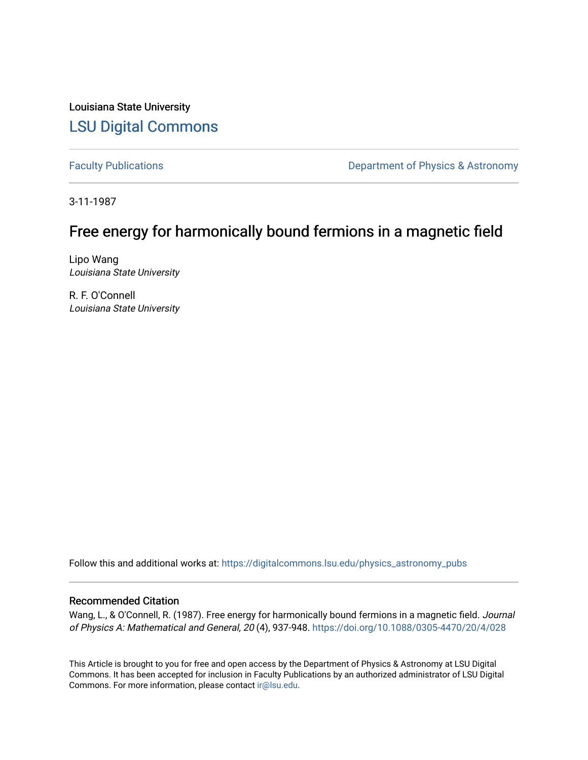Louisiana State University [LSU Digital Commons](https://digitalcommons.lsu.edu/)

[Faculty Publications](https://digitalcommons.lsu.edu/physics_astronomy_pubs) **Exercise 2 and Table 2 and Table 2 and Table 2 and Table 2 and Table 2 and Table 2 and Table 2 and Table 2 and Table 2 and Table 2 and Table 2 and Table 2 and Table 2 and Table 2 and Table 2 and Table** 

3-11-1987

# Free energy for harmonically bound fermions in a magnetic field

Lipo Wang Louisiana State University

R. F. O'Connell Louisiana State University

Follow this and additional works at: [https://digitalcommons.lsu.edu/physics\\_astronomy\\_pubs](https://digitalcommons.lsu.edu/physics_astronomy_pubs?utm_source=digitalcommons.lsu.edu%2Fphysics_astronomy_pubs%2F3998&utm_medium=PDF&utm_campaign=PDFCoverPages) 

## Recommended Citation

Wang, L., & O'Connell, R. (1987). Free energy for harmonically bound fermions in a magnetic field. Journal of Physics A: Mathematical and General, 20 (4), 937-948.<https://doi.org/10.1088/0305-4470/20/4/028>

This Article is brought to you for free and open access by the Department of Physics & Astronomy at LSU Digital Commons. It has been accepted for inclusion in Faculty Publications by an authorized administrator of LSU Digital Commons. For more information, please contact [ir@lsu.edu](mailto:ir@lsu.edu).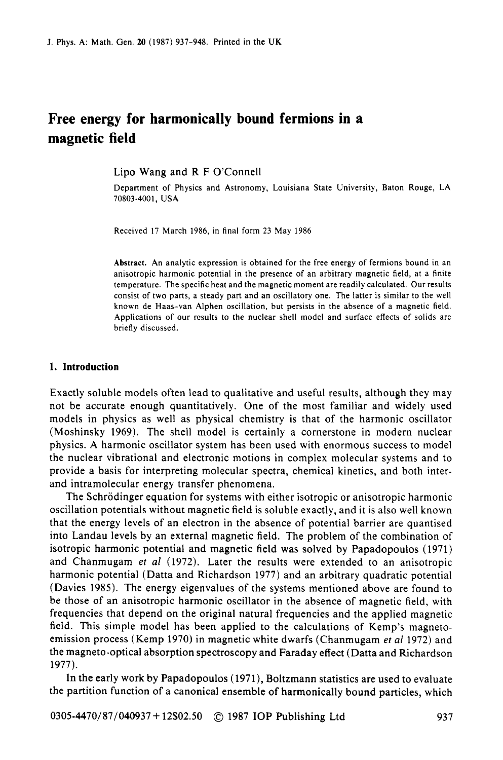# **Free energy for harmonically bound fermions in a magnetic field**

Lip0 Wang and R F O'Connell

Department of Physics and Astronomy, Louisiana State University, Baton Rouge, LA 70803-4001. USA

Received 17 March 1986, in final form 23 May 1986

**Abstract.** An analytic expression is obtained for the free energy of fermions bound in an anisotropic harmonic potential in the presence of an arbitrary magnetic field, at a finite temperature. The specific heat and the magnetic moment are readily calculated. **Our** results consist of two parts, a steady part and an oscillatory one. The latter is similar to the well known de Haas-van Alphen oscillation, but persists in the absence of a magnetic field. Applications of **our** results to the nuclear shell model and surface effects of solids are briefly discussed.

#### **1. Introduction**

Exactly soluble models often lead to qualitative and useful results, although they may not be accurate enough quantitatively. One of the most familiar and widely used models in physics as well as physical chemistry is that of the harmonic oscillator (Moshinsky 1969). The shell model is certainly a cornerstone in modern nuclear physics. **A** harmonic oscillator system has been used with enormous success to model the nuclear vibrational and electronic motions in complex molecular systems and to provide a basis for interpreting molecular spectra, chemical kinetics, and both interand intramolecular energy transfer phenomena.

The Schrödinger equation for systems with either isotropic or anisotropic harmonic oscillation potentials without magnetic field is soluble exactly, and it is also well known that the energy levels of an electron in the absence of potential barrier are quantised into Landau levels by an external magnetic field. The problem of the combination of isotropic harmonic potential and magnetic field was solved by Papadopoulos (1971) and Chanmugam *et al* (1972). Later the results were extended to an anisotropic harmonic potential (Datta and Richardson 1977) and an arbitrary quadratic potential (Davies 1985). The energy eigenvalues of the systems mentioned above are found to be those of an anisotropic harmonic oscillator in the absence of magnetic field, with frequencies that depend on the original natural frequencies and the applied magnetic field. This simple model has been applied to the calculations of Kemp's magnetoemission process (Kemp 1970) in magnetic white dwarfs (Chanmugam **ef** *a1* 1972) and the magneto-optical absorption spectroscopy and Faraday effect (Datta and Richardson 1977).

In the early **work** by Papadopoulos (1971), Boltzmann statistics are used to evaluate the partition function of a canonical ensemble of harmonically bound particles, which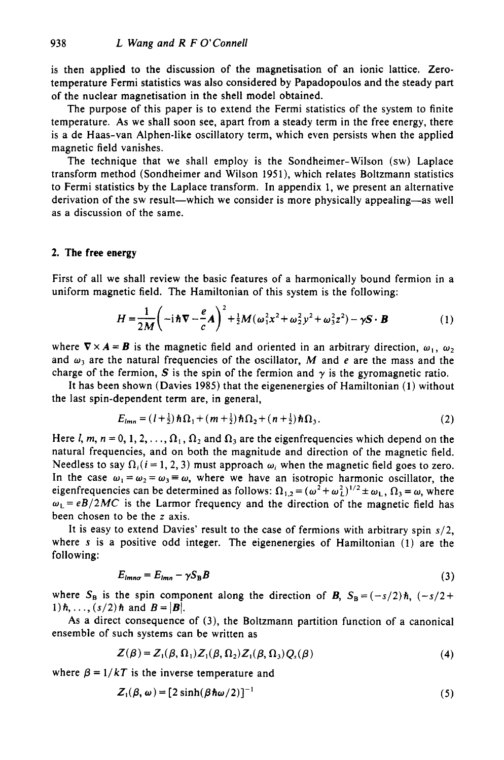is then applied to the discussion of the magnetisation of an ionic lattice. Zerotemperature Fermi statistics was also considered by Papadopoulos and the steady part of the nuclear magnetisation in the shell model obtained.

The purpose of this paper is to extend the Fermi statistics of the system to finite temperature. As we shall soon see, apart from a steady term in the free energy, there is a de Haas-van Alphen-like oscillatory term, which even persists when the applied magnetic field vanishes.

The technique that we shall employ is the Sondheimer-Wilson (sw) Laplace transform method (Sondheimer and Wilson 1951), which relates Boltzmann statistics to Fermi statistics by the Laplace transform. In appendix 1, we present an alternative derivation of the **sw** result-which we consider is more physically appealing-as well as a discussion of the same.

#### **2. The free energy**

First of all we shall review the basic features of a harmonically bound fermion in a uniform magnetic field. The Hamiltonian of this system is the following:

$$
H = \frac{1}{2M} \left( -\mathrm{i} \hbar \nabla - \frac{e}{c} \mathbf{A} \right)^2 + \frac{1}{2} M (\omega_1^2 x^2 + \omega_2^2 y^2 + \omega_3^2 z^2) - \gamma \mathbf{S} \cdot \mathbf{B} \tag{1}
$$

where  $\nabla \times A = B$  is the magnetic field and oriented in an arbitrary direction,  $\omega_1$ ,  $\omega_2$ and  $\omega_3$  are the natural frequencies of the oscillator, *M* and *e* are the mass and the charge of the fermion, *S* is the spin of the fermion and  $\gamma$  is the gyromagnetic ratio.

It has been shown (Davies 1985) that the eigenenergies of Hamiltonian (1) without the last spin-dependent term are, in general,

$$
E_{lmn} = (l+\tfrac{1}{2})\hbar\Omega_1 + (m+\tfrac{1}{2})\hbar\Omega_2 + (n+\tfrac{1}{2})\hbar\Omega_3.
$$
 (2)

Here *l, m, n* = 0, 1, 2, ...,  $\Omega_1$ ,  $\Omega_2$  and  $\Omega_3$  are the eigenfrequencies which depend on the natural frequencies, and on both the magnitude and direction of the magnetic field. Needless to say  $\Omega_i$  (i = 1, 2, 3) must approach  $\omega_i$  when the magnetic field goes to zero. In the case  $\omega_1 = \omega_2 = \omega_3 = \omega$ , where we have an isotropic harmonic oscillator, the eigenfrequencies can be determined as follows:  $\Omega_{1,2} = (\omega^2 + \omega_L^2)^{1/2} \pm \omega_L$ ,  $\Omega_3 = \omega$ , where  $\omega_L = eB/2MC$  is the Larmor frequency and the direction of the magnetic field has been chosen to be the *z* axis.

It is easy to extend Davies' result to the case of fermions with arbitrary spin *s/2,*  where s is a positive odd integer. The eigenenergies of Hamiltonian (1) are the following:

$$
E_{lmn\sigma} = E_{lmn} - \gamma S_B B \tag{3}
$$

where  $S_B$  is the spin component along the direction of **B**,  $S_B = (-s/2) \hbar$ ,  $(-s/2 +$ 1) $\hbar$ , ...,  $(s/2)\hbar$  and  $B = |B|$ .

As a direct consequence of **(3),** the Boltzmann partition function of a canonical ensemble of such systems can be written as

$$
Z(\beta) = Z_1(\beta, \Omega_1) Z_1(\beta, \Omega_2) Z_1(\beta, \Omega_3) Q_s(\beta)
$$
\n(4)

where  $\beta = 1/kT$  is the inverse temperature and

$$
Z_1(\beta, \omega) = [2 \sinh(\beta \hbar \omega/2)]^{-1}
$$
 (5)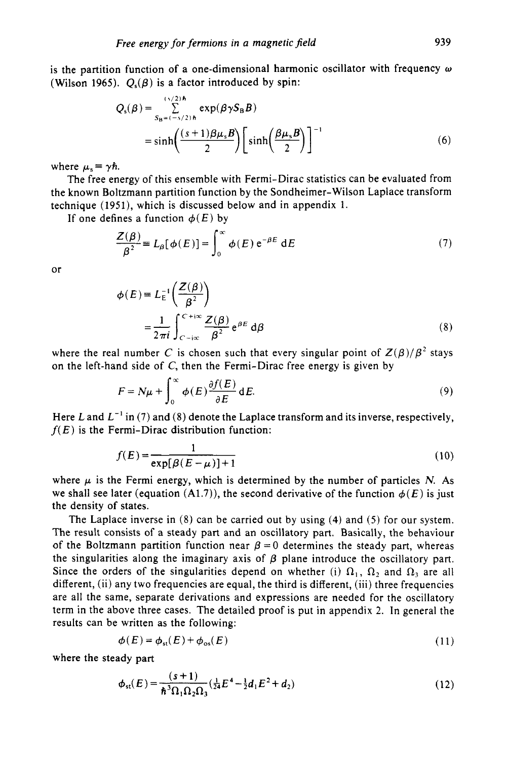is the partition function of a one-dimensional harmonic oscillator with frequency *w*  (Wilson 1965).  $Q_s(\beta)$  is a factor introduced by spin:

$$
Q_s(\beta) = \sum_{S_B = (-s/2)h}^{(s/2)h} \exp(\beta \gamma S_B B)
$$
  
= sinh  $\left(\frac{(s+1)\beta \mu_s B}{2}\right) \left[\sinh\left(\frac{\beta \mu_s B}{2}\right)\right]^{-1}$  (6)

where  $\mu_s \equiv \gamma \hbar$ .

The free energy of this ensemble with Fermi-Dirac statistics can be evaluated from the known Boltzmann partition function by the Sondheimer- Wilson Laplace transform technique (1951), which is discussed below and in appendix **1.** 

If one defines a function  $\phi(E)$  by

$$
\frac{Z(\beta)}{\beta^2} = L_{\beta}[\phi(E)] = \int_0^{\infty} \phi(E) e^{-\beta E} dE
$$
 (7)

or

$$
\phi(E) = L_E^{-1} \left( \frac{Z(\beta)}{\beta^2} \right)
$$
  
= 
$$
\frac{1}{2\pi i} \int_{C-i\infty}^{C+i\infty} \frac{Z(\beta)}{\beta^2} e^{\beta E} d\beta
$$
 (8)

where the real number *C* is chosen such that every singular point of  $Z(\beta)/\beta^2$  stays on the left-hand side of *C,* then the Fermi-Dirac free energy is given by

$$
F = N\mu + \int_0^\infty \phi(E) \frac{\partial f(E)}{\partial E} dE.
$$
 (9)

Here L and  $L^{-1}$  in (7) and (8) denote the Laplace transform and its inverse, respectively,  $f(E)$  is the Fermi-Dirac distribution function:

$$
f(E) = \frac{1}{\exp[\beta(E-\mu)]+1} \tag{10}
$$

where  $\mu$  is the Fermi energy, which is determined by the number of particles *N*. As we shall see later (equation  $(A1.7)$ ), the second derivative of the function  $\phi(E)$  is just the density of states.

The Laplace inverse in (8) can be carried out by using **(4)** and (5) for our system. The result consists of a steady part and an oscillatory part. Basically, the behaviour of the Boltzmann partition function near  $\beta = 0$  determines the steady part, whereas the singularities along the imaginary axis of  $\beta$  plane introduce the oscillatory part. Since the orders of the singularities depend on whether (i)  $\Omega_1$ ,  $\Omega_2$  and  $\Omega_3$  are all different, (ii) any two frequencies are equal, the third is different, (iii) three frequencies are all the same, separate derivations and expressions are needed for the oscillatory term in the above three cases. The detailed proof is put in appendix **2.** In general the results can be written as the following:

$$
\phi(E) = \phi_{st}(E) + \phi_{os}(E) \tag{11}
$$

where the steady part

$$
\phi_{st}(E) = \frac{(s+1)}{\hbar^3 \Omega_1 \Omega_2 \Omega_3} (\frac{1}{24} E^4 - \frac{1}{2} d_1 E^2 + d_2)
$$
 (12)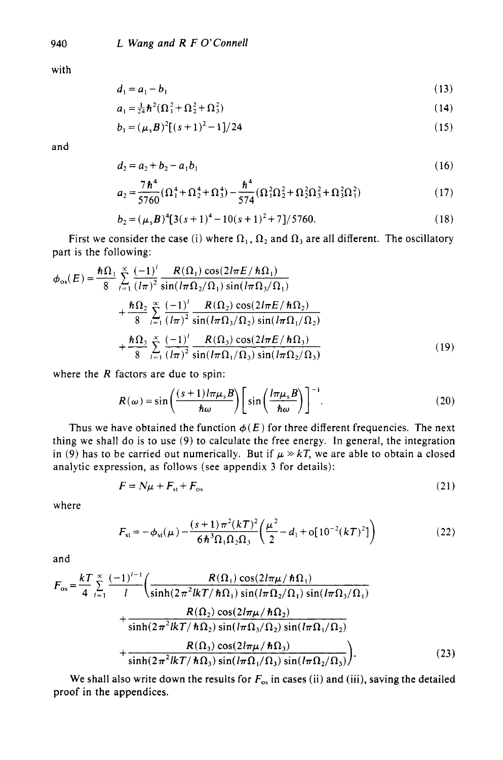with

$$
d_1 = a_1 - b_1 \tag{13}
$$

$$
a_1 = \frac{1}{24} \hbar^2 (\Omega_1^2 + \Omega_2^2 + \Omega_3^2)
$$
 (14)

$$
b_1 = (\mu_s B)^2 [(s+1)^2 - 1]/24
$$
 (15)

and

$$
d_2 = a_2 + b_2 - a_1 b_1 \tag{16}
$$

$$
a_2 = \frac{7\,\hbar^4}{5760} (\Omega_1^4 + \Omega_2^4 + \Omega_3^4) - \frac{\hbar^4}{574} (\Omega_1^2 \Omega_2^2 + \Omega_2^2 \Omega_3^2 + \Omega_3^2 \Omega_1^2)
$$
 (17)

$$
b_2 = (\mu_s B)^4 [3(s+1)^4 - 10(s+1)^2 + 7]/5760.
$$
 (18)

First we consider the case (i) where  $\Omega_1$ ,  $\Omega_2$  and  $\Omega_3$  are all different. The oscillatory part is the following:

$$
\phi_{\text{os}}(E) = \frac{\hbar \Omega_1}{8} \sum_{i=1}^{\infty} \frac{(-1)^i}{(l\pi)^2} \frac{R(\Omega_1) \cos(2l\pi E/\hbar \Omega_1)}{\sin(l\pi \Omega_2/\Omega_1) \sin(l\pi \Omega_3/\Omega_1)} + \frac{\hbar \Omega_2}{8} \sum_{i=1}^{\infty} \frac{(-1)^i}{(l\pi)^2} \frac{R(\Omega_2) \cos(2l\pi E/\hbar \Omega_2)}{\sin(l\pi \Omega_3/\Omega_2) \sin(l\pi \Omega_1/\Omega_2)} + \frac{\hbar \Omega_3}{8} \sum_{i=1}^{\infty} \frac{(-1)^i}{(l\pi)^2} \frac{R(\Omega_3) \cos(2l\pi E/\hbar \Omega_3)}{\sin(l\pi \Omega_1/\Omega_3) \sin(l\pi \Omega_2/\Omega_3)}
$$
(19)

where the *R* factors are due to spin:

$$
R(\omega) = \sin\left(\frac{(s+1)l\pi\mu_s B}{\hbar\omega}\right) \left[\sin\left(\frac{l\pi\mu_s B}{\hbar\omega}\right)\right]^{-1}.
$$
 (20)

Thus we have obtained the function  $\phi(E)$  for three different frequencies. The next thing we shall do is to use (9) to calculate the free energy. In general, the integration in (9) has to be carried out numerically. But if  $\mu \gg kT$ , we are able to obtain a closed analytic expression, as follows (see appendix 3 for details):

$$
F = N\mu + F_{\rm st} + F_{\rm os} \tag{21}
$$

where

$$
F_{\rm st} = -\phi_{\rm st}(\mu) - \frac{(s+1)\pi^2(kT)^2}{6\hbar^3 \Omega_1 \Omega_2 \Omega_3} \left(\frac{\mu^2}{2} - d_1 + o[10^{-2}(kT)^2]\right)
$$
(22)

and

$$
F_{\rm os} = \frac{kT}{4} \sum_{l=1}^{\infty} \frac{(-1)^{l-1}}{l} \left( \frac{R(\Omega_1) \cos(2l\pi\mu/\hbar\Omega_1)}{\sinh(2\pi^2 l k \pi/\hbar\Omega_1) \sin(l\pi\Omega_2/\Omega_1) \sin(l\pi\Omega_3/\Omega_1)} + \frac{R(\Omega_2) \cos(2l\pi\mu/\hbar\Omega_2)}{\sinh(2\pi^2 l k \pi/\hbar\Omega_2) \sin(l\pi\Omega_3/\Omega_2) \sin(l\pi\Omega_1/\Omega_2)} + \frac{R(\Omega_3) \cos(2l\pi\mu/\hbar\Omega_3)}{\sinh(2\pi^2 l k \pi/\hbar\Omega_3) \sin(l\pi\Omega_1/\Omega_3) \sin(l\pi\Omega_2/\Omega_3)} \right). \tag{23}
$$

We shall also write down the results for  $F_{\rm os}$  in cases (ii) and (iii), saving the detailed proof in the appendices.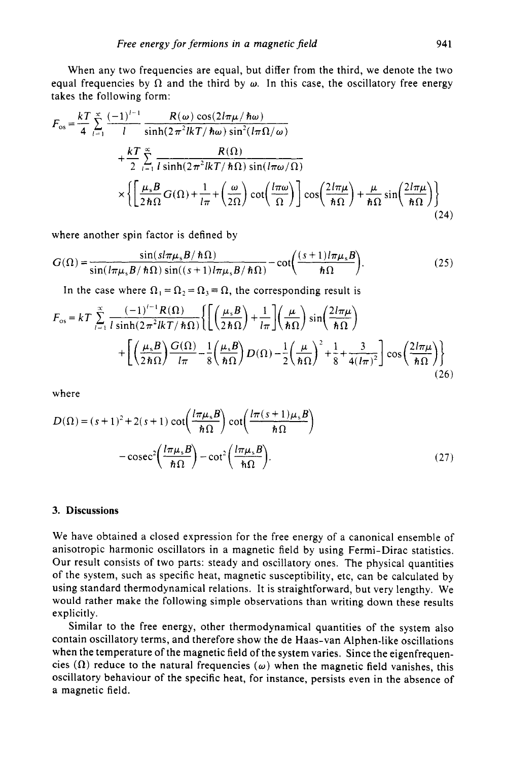When any two frequencies are equal, but differ from the third, we denote the two equal frequencies by  $\Omega$  and the third by  $\omega$ . In this case, the oscillatory free energy takes the following form:

\n Free energy for fermions in a magnetic field 
$$
941
$$
.\n

\n\n When any two frequencies are equal, but differ from the third, we denote the two equal frequencies by  $\Omega$  and the third by  $\omega$ . In this case, the oscillatory free energy takes the following form:\n 
$$
F_{\text{os}} = \frac{kT}{4} \sum_{i=1}^{\infty} \frac{(-1)^{i-1}}{i} \frac{R(\omega) \cos(2l\pi\mu/\hbar\omega)}{\sinh(2\pi^2 l k \pi/\hbar\omega) \sin^2(l\pi\Omega/\omega)} + \frac{kT}{2} \sum_{i=1}^{\infty} \frac{R(\Omega)}{i \sinh(2\pi^2 l k \pi/\hbar\Omega) \sin(l\pi\omega/\Omega)} \times \left\{ \left[ \frac{\mu_s B}{2\hbar\Omega} G(\Omega) + \frac{1}{l\pi} + \left( \frac{\omega}{2\Omega} \right) \cot\left( \frac{l\pi\omega}{\Omega} \right) \right] \cos\left( \frac{2l\pi\mu}{\hbar\Omega} \right) + \frac{\mu}{\hbar\Omega} \sin\left( \frac{2l\pi\mu}{\hbar\Omega} \right) \right\}
$$
\n $(24)$ \n

where another spin factor is defined by

$$
G(\Omega) = \frac{\sin(s l \pi \mu_s B / \hbar \Omega)}{\sin(l \pi \mu_s B / \hbar \Omega) \sin((s+1) l \pi \mu_s B / \hbar \Omega)} - \cot\left(\frac{(s+1) l \pi \mu_s B}{\hbar \Omega}\right).
$$
(25)

In the case where  $\Omega_1 = \Omega_2 = \Omega_3 = \Omega$ , the corresponding result is

$$
F_{\text{os}} = kT \sum_{l=1}^{\infty} \frac{(-1)^{l-1} R(\Omega)}{l \sinh(2\pi^2 l k \pi / \hbar \Omega)} \left\{ \left[ \left( \frac{\mu_s B}{2\hbar \Omega} \right) + \frac{1}{l\pi} \right] \left( \frac{\mu}{\hbar \Omega} \right) \sin\left( \frac{2l\pi \mu}{\hbar \Omega} \right) \right\}
$$

$$
+ \left[ \left( \frac{\mu_s B}{2\hbar \Omega} \right) \frac{G(\Omega)}{l\pi} - \frac{1}{8} \left( \frac{\mu_s B}{\hbar \Omega} \right) D(\Omega) - \frac{1}{2} \left( \frac{\mu}{\hbar \Omega} \right)^2 + \frac{1}{8} + \frac{3}{4(l\pi)^2} \right] \cos\left( \frac{2l\pi \mu}{\hbar \Omega} \right) \right\}
$$
(26)

where

where  
\n
$$
D(\Omega) = (s+1)^2 + 2(s+1) \cot\left(\frac{l\pi\mu_s B}{\hbar\Omega}\right) \cot\left(\frac{l\pi(s+1)\mu_s B}{\hbar\Omega}\right)
$$
\n
$$
-\csc^2\left(\frac{l\pi\mu_s B}{\hbar\Omega}\right) - \cot^2\left(\frac{l\pi\mu_s B}{\hbar\Omega}\right). \tag{27}
$$

### **3. Discussions**

We have obtained a closed expression for the free energy of a canonical ensemble of anisotropic harmonic oscillators in a magnetic field by using Fermi-Dirac statistics. Our result consists of two parts: steady and oscillatory ones. The physical quantities of the system, such as specific heat, magnetic susceptibility, etc, can be calculated by using standard thermodynamical relations. It is straightforward, but very lengthy. We would rather make the following simple observations than writing down these results explicitly.

Similar to the free energy, other thermodynamical quantities of the system also contain oscillatory terms, and therefore show the de Haas-van Alphen-like oscillations when the temperature of the magnetic field of the system varies. Since the eigenfrequencies  $(\Omega)$  reduce to the natural frequencies  $(\omega)$  when the magnetic field vanishes, this oscillatory behaviour of the specific heat, for instance, persists even in the absence of a magnetic field.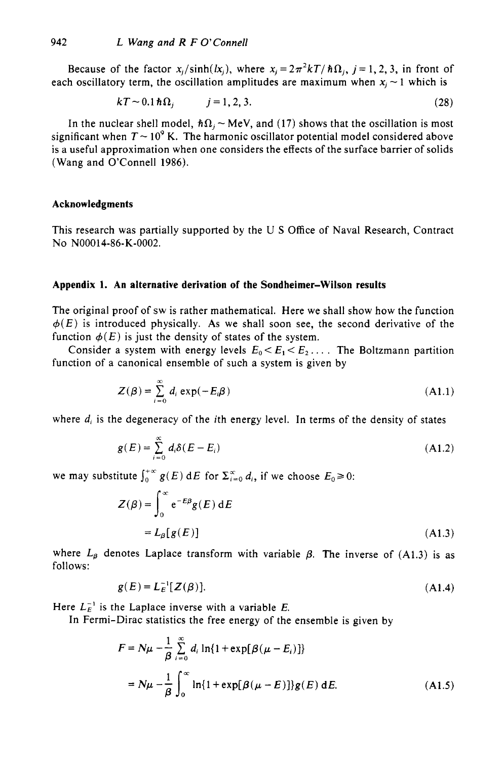Because of the factor  $x_i/\sinh(k_i)$ , where  $x_i = 2\pi^2 kT/\hbar\Omega_i$ ,  $j = 1, 2, 3$ , in front of each oscillatory term, the oscillation amplitudes are maximum when  $x_i \sim 1$  which is

$$
kT \sim 0.1 \hbar \Omega_j \qquad j = 1, 2, 3. \tag{28}
$$

In the nuclear shell model,  $\hbar\Omega_i \sim MeV$ , and (17) shows that the oscillation is most significant when  $T \sim 10^9$  K. The harmonic oscillator potential model considered above is a useful approximation when one considers the effects of the surface barrier of solids (Wang and O'Connell 1986).

#### **Acknowledgments**

This research was partially supported by the U *S* Office of Naval Research, Contract NO NOOO14-86-K-0002.

#### **Appendix 1. An alternative derivation of the Sondheimer-Wilson results**

The original proof of **sw** is rather mathematical. Here we shall show how the function  $\phi(E)$  is introduced physically. As we shall soon see, the second derivative of the function  $\phi(E)$  is just the density of states of the system.

Consider a system with energy levels  $E_0 \le E_1 \le E_2$ .... The Boltzmann partition function of a canonical ensemble of such **a** system is given by

$$
Z(\beta) = \sum_{i=0}^{\infty} d_i \exp(-E_i \beta)
$$
 (A1.1)

where  $d_i$  is the degeneracy of the *i*th energy level. In terms of the density of states

$$
g(E) = \sum_{i=0}^{\infty} d_i \delta(E - E_i)
$$
 (A1.2)

we may substitute  $\int_0^{+\infty} g(E) dE$  for  $\sum_{i=0}^{\infty} d_i$ , if we choose  $E_0 \ge 0$ :

itute 
$$
\int_0^{+\infty} g(E) \, dE
$$
 for  $\sum_{i=0}^{\infty} d_i$ , if we choose  $E_0 \ge 0$ :

\n $Z(\beta) = \int_0^{\infty} e^{-E\beta} g(E) \, dE$ 

\n $= L_{\beta}[g(E)]$ 

\n(A1.3)

where  $L_{\beta}$  denotes Laplace transform with variable  $\beta$ . The inverse of (A1.3) is as follows:

$$
g(E) = L_E^{-1}[Z(\beta)].
$$
\n(A1.4)

Here  $L_E^{-1}$  is the Laplace inverse with a variable E.

In Fermi-Dirac statistics the free energy of the ensemble is given by

$$
F = N\mu - \frac{1}{\beta} \sum_{i=0}^{\infty} d_i \ln\{1 + \exp[\beta(\mu - E_i)]\}
$$
  
=  $N\mu - \frac{1}{\beta} \int_0^{\infty} \ln\{1 + \exp[\beta(\mu - E)]\} g(E) dE.$  (A1.5)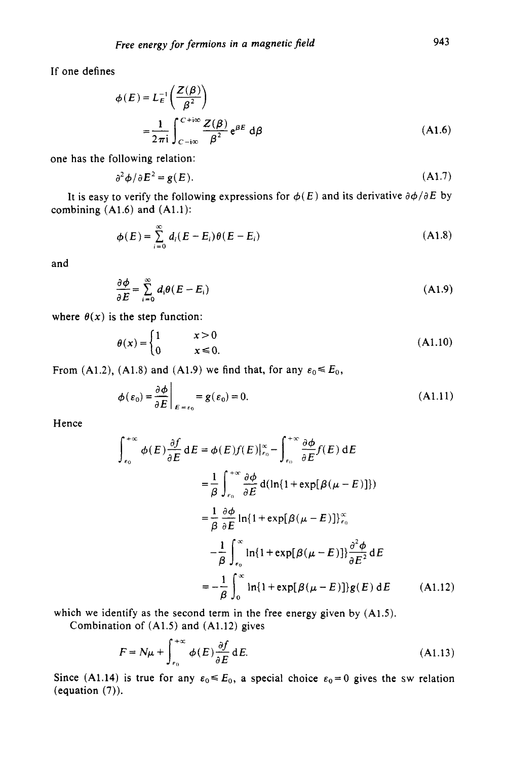If one defines

$$
\phi(E) = L_E^{-1} \left( \frac{Z(\beta)}{\beta^2} \right)
$$
  
= 
$$
\frac{1}{2\pi i} \int_{C-i\infty}^{C+i\infty} \frac{Z(\beta)}{\beta^2} e^{\beta E} d\beta
$$
 (A1.6)

one has the following relation:

$$
\partial^2 \phi / \partial E^2 = g(E). \tag{A1.7}
$$

It is easy to verify the following expressions for  $\phi(E)$  and its derivative  $\partial \phi / \partial E$  by combining **(A1.6)** and **(Al.1):** 

$$
\phi(E) = \sum_{i=0}^{\infty} d_i (E - E_i) \theta(E - E_i)
$$
\n(A1.8)

and

$$
\frac{\partial \phi}{\partial E} = \sum_{i=0}^{\infty} d_i \theta (E - E_i)
$$
 (A1.9)

where  $\theta(x)$  is the step function:

$$
\theta(x) = \begin{cases} 1 & x > 0 \\ 0 & x \le 0. \end{cases} \tag{A1.10}
$$

From (A1.2), (A1.8) and (A1.9) we find that, for any  $\varepsilon_0 \leq E_0$ ,

$$
\phi(\varepsilon_0) = \frac{\partial \phi}{\partial E}\Big|_{E = \varepsilon_0} = g(\varepsilon_0) = 0.
$$
\n(A1.11)

Hence

$$
\int_{\epsilon_0}^{+\infty} \phi(E) \frac{\partial f}{\partial E} dE = \phi(E) f(E) \Big|_{\epsilon_0}^{\infty} - \int_{\epsilon_0}^{+\infty} \frac{\partial \phi}{\partial E} f(E) dE
$$
  
\n
$$
= \frac{1}{\beta} \int_{\epsilon_0}^{+\infty} \frac{\partial \phi}{\partial E} d(\ln\{1 + \exp[\beta(\mu - E)]\})
$$
  
\n
$$
= \frac{1}{\beta} \frac{\partial \phi}{\partial E} \ln\{1 + \exp[\beta(\mu - E)]\}_{\epsilon_0}^{\infty}
$$
  
\n
$$
- \frac{1}{\beta} \int_{\epsilon_0}^{\infty} \ln\{1 + \exp[\beta(\mu - E)]\} \frac{\partial^2 \phi}{\partial E^2} dE
$$
  
\n
$$
= -\frac{1}{\beta} \int_{0}^{\infty} \ln\{1 + \exp[\beta(\mu - E)]\} g(E) dE
$$
 (A1.12)

which we identify as the second term in the free energy given by **(A1.5).** 

Combination of **(A1.5)** and **(A1.12)** gives

$$
F = N\mu + \int_{\epsilon_0}^{+\infty} \phi(E) \frac{\partial f}{\partial E} dE.
$$
 (A1.13)

Since (A1.14) is true for any  $\varepsilon_0 \le E_0$ , a special choice  $\varepsilon_0 = 0$  gives the sw relation (equation **(7)).**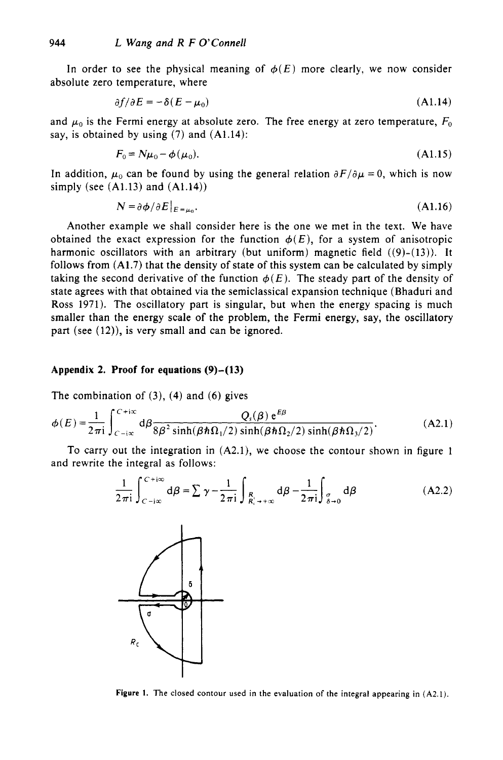In order to see the physical meaning of  $\phi(E)$  more clearly, we now consider absolute zero temperature, where

$$
\partial f/\partial E = -\delta(E - \mu_0) \tag{A1.14}
$$

and  $\mu_0$  is the Fermi energy at absolute zero. The free energy at zero temperature,  $F_0$ say, is obtained by using  $(7)$  and  $(A1.14)$ :

$$
F_0 = N\mu_0 - \phi(\mu_0). \tag{A1.15}
$$

In addition,  $\mu_0$  can be found by using the general relation  $\partial F/\partial \mu = 0$ , which is now simply (see  $(A1.13)$  and  $(A1.14)$ )

$$
N = \partial \phi / \partial E|_{E = \mu_0}.\tag{A1.16}
$$

Another example we shall consider here is the one we met in the text. We have obtained the exact expression for the function  $\phi(E)$ , for a system of anisotropic harmonic oscillators with an arbitrary (but uniform) magnetic field  $((9)-(13))$ . It follows from  $(A1.7)$  that the density of state of this system can be calculated by simply taking the second derivative of the function  $\phi(E)$ . The steady part of the density of state agrees with that obtained via the semiclassical expansion technique (Bhaduri and Ross 1971). The oscillatory part is singular, but when the energy spacing is much smaller than the energy scale of the problem, the Fermi energy, say, the oscillatory part (see (12)), is very small and can **be** ignored.

#### **Appendix 2. Proof for equations (9)-(13)**

The combination of  $(3)$ ,  $(4)$  and  $(6)$  gives

$$
\phi(E) = \frac{1}{2\pi i} \int_{C-i\infty}^{C+i\infty} d\beta \frac{Q_s(\beta) e^{E\beta}}{8\beta^2 \sinh(\beta \hbar \Omega_1/2) \sinh(\beta \hbar \Omega_2/2) \sinh(\beta \hbar \Omega_3/2)}.
$$
 (A2.1)

To carry out the integration in (A2.1), we choose the contour shown in figure 1 and rewrite the integral as follows:

$$
\frac{1}{2\pi i} \int_{C-i\infty}^{C+i\infty} d\beta = \sum \gamma - \frac{1}{2\pi i} \int_{\substack{R_{i} \\ R_{i} \to +\infty}} d\beta - \frac{1}{2\pi i} \int_{\substack{\sigma \\ \delta \to 0}} d\beta \tag{A2.2}
$$



**Figure 1.** The **closed contour used in the evaluation** of **the integral appearing in (A2.1).**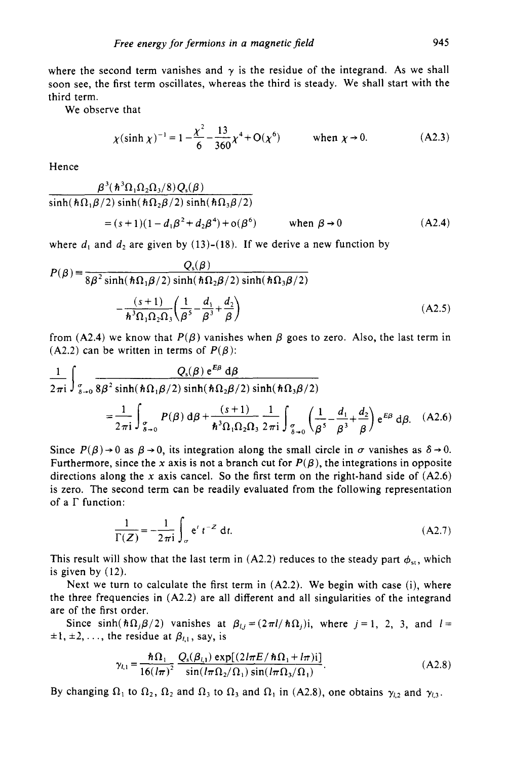where the second term vanishes and  $\gamma$  is the residue of the integrand. As we shall soon see, the first term oscillates, whereas the third is steady. We shall start with the third term.

We observe that

$$
\chi(\sinh \chi)^{-1} = 1 - \frac{\chi^2}{6} - \frac{13}{360} \chi^4 + O(\chi^6) \quad \text{when } \chi \to 0. \tag{A2.3}
$$

Hence

$$
\frac{\beta^3(\hbar^3\Omega_1\Omega_2\Omega_3/8)Q_s(\beta)}{\sinh(\hbar\Omega_1\beta/2)\sinh(\hbar\Omega_2\beta/2)\sinh(\hbar\Omega_3\beta/2)}
$$
\n(4.1)(4.12<sup>3</sup> + 12<sup>4</sup>) + (2<sup>6</sup>)

$$
= (s+1)(1-d_1\beta^2 + d_2\beta^4) + o(\beta^6) \quad \text{when } \beta \to 0
$$
 (A2.4)

where  $d_1$  and  $d_2$  are given by (13)-(18). If we derive a new function by

$$
P(\beta) = \frac{Q_s(\beta)}{8\beta^2 \sinh(\hbar\Omega_1\beta/2) \sinh(\hbar\Omega_2\beta/2) \sinh(\hbar\Omega_3\beta/2)}
$$

$$
-\frac{(s+1)}{\hbar^3 \Omega_1 \Omega_2 \Omega_3} \left(\frac{1}{\beta^5} - \frac{d_1}{\beta^3} + \frac{d_2}{\beta}\right)
$$
(A2.5)

from (A2.4) we know that  $P(\beta)$  vanishes when  $\beta$  goes to zero. Also, the last term in (A2.2) can be written in terms of  $P(\beta)$ :

$$
\frac{1}{2\pi i} \int_{\sigma_{\rho+0}} \frac{Q_s(\beta) e^{E\beta} d\beta}{8\beta^2 \sinh(\hbar \Omega_1 \beta/2) \sinh(\hbar \Omega_2 \beta/2) \sinh(\hbar \Omega_3 \beta/2)}
$$
  
= 
$$
\frac{1}{2\pi i} \int_{\sigma_{\rho+0}} P(\beta) d\beta + \frac{(s+1)}{\hbar^3 \Omega_1 \Omega_2 \Omega_3} \frac{1}{2\pi i} \int_{\sigma_{\rho+0}} \left(\frac{1}{\beta^5} - \frac{d_1}{\beta^3} + \frac{d_2}{\beta}\right) e^{E\beta} d\beta. \quad (A2.6)
$$

Since  $P(\beta) \rightarrow 0$  as  $\beta \rightarrow 0$ , its integration along the small circle in  $\sigma$  vanishes as  $\delta \rightarrow 0$ . Furthermore, since the x axis is not a branch cut for  $P(\beta)$ , the integrations in opposite directions along the **x** axis cancel. So the first term on the right-hand side of (A2.6) is zero. The second term can be readily evaluated from the following representation of a  $\Gamma$  function:

$$
\frac{1}{\Gamma(Z)} = -\frac{1}{2\pi i} \int_{\sigma} e^{t} t^{-Z} dt.
$$
 (A2.7)

This result will show that the last term in  $(A2.2)$  reduces to the steady part  $\phi_{st}$ , which is given by (12).

Next we turn to calculate the first term in  $(A2.2)$ . We begin with case (i), where the three frequencies in  $(A2.2)$  are all different and all singularities of the integrand are of the first order.

Since sinh( $\hbar\Omega_j\beta/2$ ) vanishes at  $\beta_{lj} = (2\pi l/\hbar\Omega_j)i$ , where  $j = 1, 2, 3$ , and  $l =$  $\pm 1, \pm 2, \ldots$ , the residue at  $\beta_{i,1}$ , say, is

$$
\gamma_{l,1} = \frac{\hbar \Omega_1}{16(l\pi)^2} \frac{Q_s(\beta_{l,1}) \exp[(2l\pi E/\hbar \Omega_1 + l\pi)i]}{\sin(l\pi \Omega_2/\Omega_1) \sin(l\pi \Omega_3/\Omega_1)}.
$$
(A2.8)

By changing  $\Omega_1$  to  $\Omega_2$ ,  $\Omega_2$  and  $\Omega_3$  to  $\Omega_3$  and  $\Omega_1$  in (A2.8), one obtains  $\gamma_{12}$  and  $\gamma_{13}$ .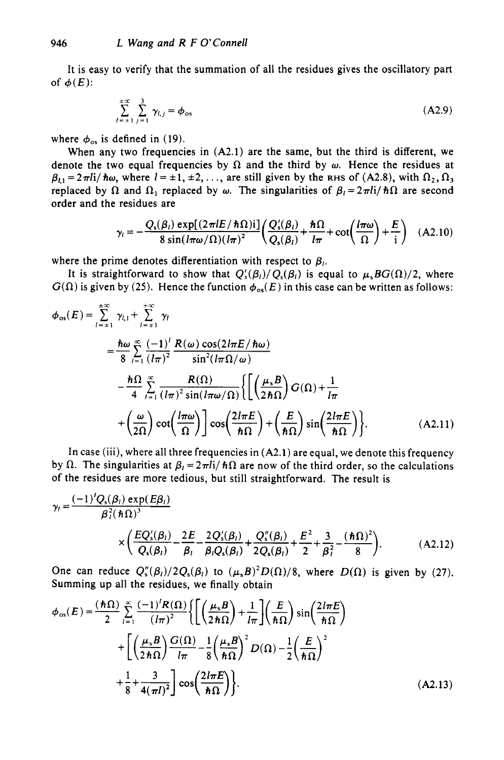It is easy to verify that the summation of all the residues gives the oscillatory part of  $\phi(E)$ :

$$
\sum_{l=s+1}^{+\infty} \sum_{j=1}^{3} \gamma_{l,j} = \phi_{\text{os}}
$$
 (A2.9)

where  $\phi_{\text{os}}$  is defined in (19).

When any two frequencies in (A2.1) are the same, but the third is different, we denote the two equal frequencies by  $\Omega$  and the third by  $\omega$ . Hence the residues at  $\beta_{11} = 2\pi I i/\hbar\omega$ , where  $I = \pm 1, \pm 2, \ldots$ , are still given by the RHS of (A2.8), with  $\Omega_2, \Omega_3$ replaced by  $\Omega$  and  $\Omega_1$  replaced by  $\omega$ . The singularities of  $\beta_1 = 2\pi i/\hbar\Omega$  are second order and the residues are

$$
\gamma_l = -\frac{Q_s(\beta_l) \exp[(2\pi lE/\hbar\Omega)]i]}{8 \sin(l\pi\omega/\Omega)(l\pi)^2} \left(\frac{Q_s'(\beta_l)}{Q_s(\beta_l)} + \frac{\hbar\Omega}{l\pi} + \cot\left(\frac{l\pi\omega}{\Omega}\right) + \frac{E}{i}\right) \quad (A2.10)
$$

where the prime denotes differentiation with respect to  $\beta_i$ .

It is straightforward to show that  $Q'_{s}(\beta_{l})/Q_{s}(\beta_{l})$  is equal to  $\mu_{s}BG(\Omega)/2$ , where  $G(\Omega)$  is given by (25). Hence the function  $\phi_{os}(E)$  in this case can be written as follows:

$$
\phi_{os}(E) = \sum_{l = \pm 1}^{\pm \infty} \gamma_{l,1} + \sum_{l = \pm 1}^{\pm \infty} \gamma_l
$$
  
\n
$$
= \frac{\hbar \omega}{8} \sum_{l = 1}^{\infty} \frac{(-1)^l R(\omega) \cos(2l\pi E / \hbar \omega)}{(l\pi)^2} \frac{\sin^2(l\pi \Omega / \omega)}{\sin^2(l\pi \Omega / \omega)}
$$
  
\n
$$
- \frac{\hbar \Omega}{4} \sum_{l = 1}^{\infty} \frac{R(\Omega)}{(l\pi)^2 \sin(l\pi \omega / \Omega)} \left\{ \left[ \left( \frac{\mu_s B}{2\hbar \Omega} \right) G(\Omega) + \frac{1}{l\pi} + \left( \frac{\omega}{2\Omega} \right) \cot\left( \frac{l\pi \omega}{\Omega} \right) \right] \cos\left( \frac{2l\pi E}{\hbar \Omega} \right) + \left( \frac{E}{\hbar \Omega} \right) \sin\left( \frac{2l\pi E}{\hbar \Omega} \right) \right\}. \tag{A2.11}
$$

**In** case (iii), where all three frequencies in (A2.1) are equal, we denote this frequency by  $\Omega$ . The singularities at  $\beta_l = 2\pi I i/\hbar\Omega$  are now of the third order, so the calculations of the residues are more tedious, but still straightforward. The result is

$$
\gamma_{i} = \frac{(-1)^{i} Q_{s}(\beta_{i}) \exp(E\beta_{i})}{\beta_{i}^{2}(\hbar\Omega)^{3}} \times \left(\frac{EQ^{'}_{s}(\beta_{i})}{Q_{s}(\beta_{i})} - \frac{2E}{\beta_{i}} - \frac{2Q^{'}_{s}(\beta_{i})}{\beta_{i}Q_{s}(\beta_{i})} + \frac{Q^{''}_{s}(\beta_{i})}{2Q_{s}(\beta_{i})} + \frac{E^{2}}{2} + \frac{3}{\beta_{i}^{2}} - \frac{(\hbar\Omega)^{2}}{8}\right). \tag{A2.12}
$$

One can reduce  $Q_s''(\beta_l)/2Q_s(\beta_l)$  to  $(\mu_s B)^2 D(\Omega)/8$ , where  $D(\Omega)$  is given by (27). Summing up all the residues, we finally obtain

$$
\phi_{\text{os}}(E) = \frac{(\hbar\Omega)}{2} \sum_{l=1}^{\infty} \frac{(-1)^l R(\Omega)}{(l\pi)^2} \left\{ \left[ \left( \frac{\mu_s B}{2\hbar\Omega} \right) + \frac{1}{l\pi} \right] \left( \frac{E}{\hbar\Omega} \right) \sin\left( \frac{2l\pi E}{\hbar\Omega} \right) \right\}
$$

$$
+ \left[ \left( \frac{\mu_s B}{2\hbar\Omega} \right) \frac{G(\Omega)}{l\pi} - \frac{1}{8} \left( \frac{\mu_s B}{\hbar\Omega} \right)^2 D(\Omega) - \frac{1}{2} \left( \frac{E}{\hbar\Omega} \right)^2
$$

$$
+ \frac{1}{8} + \frac{3}{4(\pi l)^2} \right] \cos\left( \frac{2l\pi E}{\hbar\Omega} \right).
$$
(A2.13)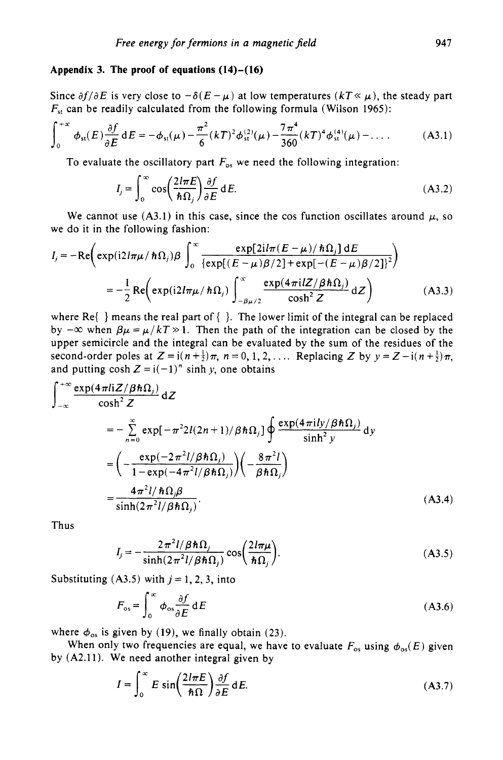#### **Appendix 3. The proof of equations (14)-(16)**

Since  $\partial f/\partial E$  is very close to  $-\partial(E-\mu)$  at low temperatures  $(kT\ll \mu)$ , the steady part  $F_{\rm st}$  can be readily calculated from the following formula (Wilson 1965):

$$
\int_0^{+\infty} \phi_{st}(E) \frac{\partial f}{\partial E} dE = -\phi_{st}(\mu) - \frac{\pi^2}{6} (kT)^2 \phi_{st}^{(2)}(\mu) - \frac{7\pi^4}{360} (kT)^4 \phi_{st}^{(4)}(\mu) - \dots
$$
 (A3.1)

To evaluate the oscillatory part  $F_{\text{os}}$  we need the following integration:

$$
I_j = \int_0^\infty \cos\left(\frac{2l\pi E}{\hbar \Omega_j}\right) \frac{\partial f}{\partial E} dE.
$$
 (A3.2)

We cannot use  $(A3.1)$  in this case, since the cos function oscillates around  $\mu$ , so we do it in the following fashion:

$$
I_j = -\text{Re}\left(\exp\left(\frac{i2l\pi\mu}{\hbar\Omega_j}\right)\beta \int_0^\infty \frac{\exp[2il\pi(E-\mu)/\hbar\Omega_j]dE}{\left\{\exp[(E-\mu)\beta/2]+\exp[-(E-\mu)\beta/2]\right\}^2}\right)
$$
  

$$
= -\frac{1}{2}\text{Re}\left(\exp\left(\frac{i2l\pi\mu}{\hbar\Omega_j}\right)\int_{-\beta\mu/2}^\infty \frac{\exp(4\pi i lZ/\beta\hbar\Omega_j)}{\cosh^2 Z}dZ\right)
$$
(A3.3)

where  $\text{Re}\{\}$  means the real part of  $\{\}$ . The lower limit of the integral can be replaced by  $-\infty$  when  $\beta \mu = \mu / kT \gg 1$ . Then the path of the integration can be closed by the upper semicircle and the integral can be evaluated by the sum of the residues of the second-order poles at  $Z = i(n+\frac{1}{2})\pi$ ,  $n = 0, 1, 2, \ldots$  Replacing *Z* by  $y = Z - i(n+\frac{1}{2})\pi$ , and putting  $\cosh Z = i(-1)^n \sinh y$ , one obtains

$$
\int_{-\infty}^{+\infty} \frac{\exp(4\pi i i Z/\beta \hbar \Omega_{j})}{\cosh^{2} Z} dZ
$$
\n
$$
= -\sum_{n=0}^{\infty} \exp[-\pi^{2} 2i(2n+1)/\beta \hbar \Omega_{j}] \oint_{-\infty}^{\infty} \frac{\exp(4\pi i ly/\beta \hbar \Omega_{j})}{\sinh^{2} y} dy
$$
\n
$$
= \left(-\frac{\exp(-2\pi^{2}i/\beta \hbar \Omega_{j})}{1-\exp(-4\pi^{2}i/\beta \hbar \Omega_{j})}\right)\left(-\frac{8\pi^{2}i}{\beta \hbar \Omega_{j}}\right)
$$
\n
$$
= \frac{4\pi^{2}i/\hbar \Omega_{j}\beta}{\sinh(2\pi^{2}i/\beta \hbar \Omega_{j})}.
$$
\n(A3.4)

Thus

$$
I_j = -\frac{2\pi^2 l/\beta \hbar \Omega_j}{\sinh(2\pi^2 l/\beta \hbar \Omega_j)} \cos\left(\frac{2l\pi \mu}{\hbar \Omega_j}\right).
$$
 (A3.5)

Substituting  $(A3.5)$  with  $j = 1, 2, 3$ , into

$$
F_{\rm os} = \int_0^\infty \phi_{\rm os} \frac{\partial f}{\partial E} dE \tag{A3.6}
$$

where  $\phi_{\rm os}$  is given by (19), we finally obtain (23).

by (A2.11). We need another integral given by When only two frequencies are equal, we have to evaluate  $F_{\rm os}$  using  $\phi_{\rm os}(E)$  given

$$
I = \int_0^\infty E \sin\left(\frac{2l\pi E}{\hbar \Omega}\right) \frac{\partial f}{\partial E} dE.
$$
 (A3.7)